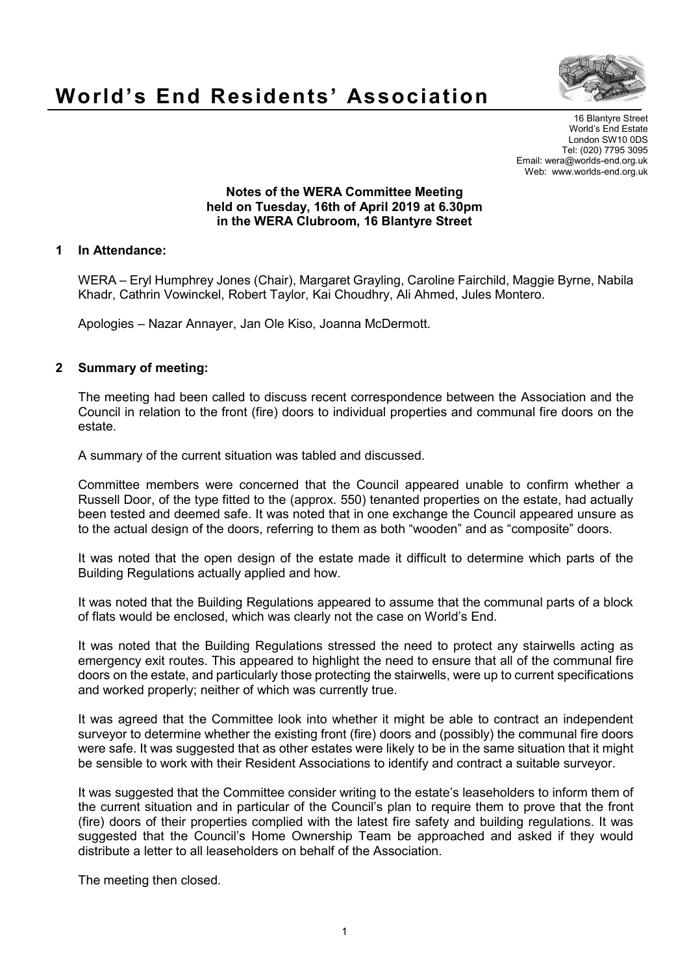

# **World's End Residents' Association**

16 Blantyre Street World's End Estate London SW10 0DS Tel: (020) 7795 3095 Email: wera@worlds-end.org.uk Web: www.worlds-end.org.uk

#### **Notes of the WERA Committee Meeting held on Tuesday, 16th of April 2019 at 6.30pm in the WERA Clubroom, 16 Blantyre Street**

#### **1 In Attendance:**

WERA – Eryl Humphrey Jones (Chair), Margaret Grayling, Caroline Fairchild, Maggie Byrne, Nabila Khadr, Cathrin Vowinckel, Robert Taylor, Kai Choudhry, Ali Ahmed, Jules Montero.

Apologies – Nazar Annayer, Jan Ole Kiso, Joanna McDermott.

### **2 Summary of meeting:**

The meeting had been called to discuss recent correspondence between the Association and the Council in relation to the front (fire) doors to individual properties and communal fire doors on the estate.

A summary of the current situation was tabled and discussed.

Committee members were concerned that the Council appeared unable to confirm whether a Russell Door, of the type fitted to the (approx. 550) tenanted properties on the estate, had actually been tested and deemed safe. It was noted that in one exchange the Council appeared unsure as to the actual design of the doors, referring to them as both "wooden" and as "composite" doors.

It was noted that the open design of the estate made it difficult to determine which parts of the Building Regulations actually applied and how.

It was noted that the Building Regulations appeared to assume that the communal parts of a block of flats would be enclosed, which was clearly not the case on World's End.

It was noted that the Building Regulations stressed the need to protect any stairwells acting as emergency exit routes. This appeared to highlight the need to ensure that all of the communal fire doors on the estate, and particularly those protecting the stairwells, were up to current specifications and worked properly; neither of which was currently true.

It was agreed that the Committee look into whether it might be able to contract an independent surveyor to determine whether the existing front (fire) doors and (possibly) the communal fire doors were safe. It was suggested that as other estates were likely to be in the same situation that it might be sensible to work with their Resident Associations to identify and contract a suitable surveyor.

It was suggested that the Committee consider writing to the estate's leaseholders to inform them of the current situation and in particular of the Council's plan to require them to prove that the front (fire) doors of their properties complied with the latest fire safety and building regulations. It was suggested that the Council's Home Ownership Team be approached and asked if they would distribute a letter to all leaseholders on behalf of the Association.

The meeting then closed.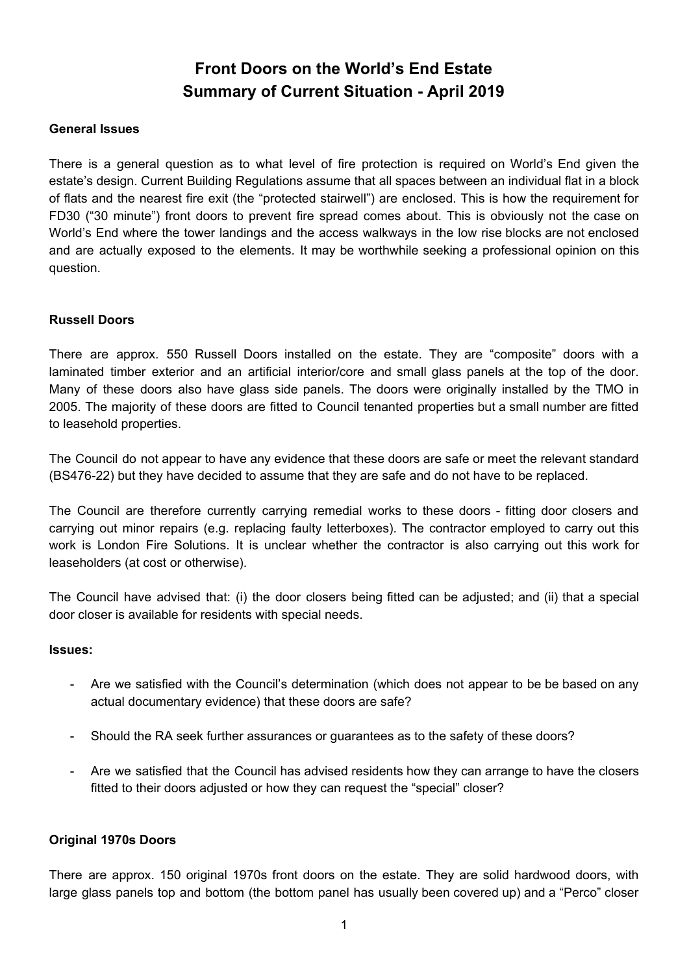## **Front Doors on the World's End Estate Summary of Current Situation - April 2019**

### **General Issues**

There is a general question as to what level of fire protection is required on World's End given the estate's design. Current Building Regulations assume that all spaces between an individual flat in a block of flats and the nearest fire exit (the "protected stairwell") are enclosed. This is how the requirement for FD30 ("30 minute") front doors to prevent fire spread comes about. This is obviously not the case on World's End where the tower landings and the access walkways in the low rise blocks are not enclosed and are actually exposed to the elements. It may be worthwhile seeking a professional opinion on this question.

### **Russell Doors**

There are approx. 550 Russell Doors installed on the estate. They are "composite" doors with a laminated timber exterior and an artificial interior/core and small glass panels at the top of the door. Many of these doors also have glass side panels. The doors were originally installed by the TMO in 2005. The majority of these doors are fitted to Council tenanted properties but a small number are fitted to leasehold properties.

The Council do not appear to have any evidence that these doors are safe or meet the relevant standard (BS476-22) but they have decided to assume that they are safe and do not have to be replaced.

The Council are therefore currently carrying remedial works to these doors - fitting door closers and carrying out minor repairs (e.g. replacing faulty letterboxes). The contractor employed to carry out this work is London Fire Solutions. It is unclear whether the contractor is also carrying out this work for leaseholders (at cost or otherwise).

The Council have advised that: (i) the door closers being fitted can be adjusted; and (ii) that a special door closer is available for residents with special needs.

#### **Issues:**

- Are we satisfied with the Council's determination (which does not appear to be be based on any actual documentary evidence) that these doors are safe?
- Should the RA seek further assurances or guarantees as to the safety of these doors?
- Are we satisfied that the Council has advised residents how they can arrange to have the closers fitted to their doors adjusted or how they can request the "special" closer?

### **Original 1970s Doors**

There are approx. 150 original 1970s front doors on the estate. They are solid hardwood doors, with large glass panels top and bottom (the bottom panel has usually been covered up) and a "Perco" closer